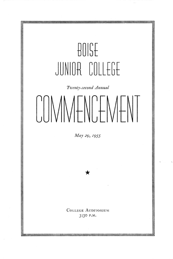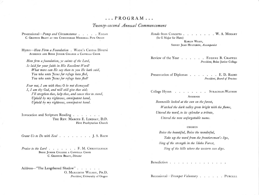## $\ldots$  PROGRAM...

## Twenty-second Annual Commencement

Processional-Pomp and Circumstance . . . . . ELGAR C. GRIFFITH BRATT AT THE CUNNINGHAM MEMORIAL PIPE ORGAN

Hymn-How Firm a Foundation . WADE's Cantus Diversi AUDIENCE AND BOISE JUNIOR COLLEGE A CAPPELLA CHOIR

How firm a foundation, ye saints of the Lord, Is laid for your faith in His Excellent Word! What more can He say than to you He hath said, You who unto Jesus for refuge have fled, You who unto Jesus for refuge have fled?

Fear not, I am with thee; O be not dismayed! I, I am thy God, and will still give thee aid; I'll stregthen thee, help thee, and cause thee to stand, Upheld by my righteous, omnipotent hand, Upheld by my righteous, omnipotent hand.

Invocation and Scripture Reading . . . . . . . THE REV. MARCUS E. LINDSAY, D.D. First Presbyterian Church

Grant Us to Do with Zeal . . . . . . . . J. S. BACH

Praise to the Lord....... F. M. CHRISTIANSEN BOISE JUNIOR COLLEGE A CAPPELLA CHOIR C. GRIFFITH BRATT, Director

Address—"The Lengthened Shadow"...... O. MEREDITH WILSON, PH.D. President, University of Oregon Rondo from Concerto . . . . . . . W. A. MOZART (In G Major for Flute) KARLIN WILEY, SIDNEY JEAN HULTGREN, Accompanist

Review of the Year . . . . . EUGENE B. CHAFFEE President, Boise Junior College

Presentation of Diplomas . . . . . . E. D. BAIRD President, Board of Trustees

College Hymn . . . . . . . STRACHAN-WATSON AUDIENCE

Bonneville looked at the sun on the forest, Watched the dark valley grow bright with the flame, Uttered the word, to its splendor a tribute, Uttered the now unforgettable name.

#### **CHORUS**

Boise the beautiful, Boise the wonderful, Take up the word from the frontiersman's lips, Sing of the strength in the Idaho Forest, Sing of the hills where the western sun dips.

Benediction . . . . . . . . . . . . . .

Recessional-Trumpet Voluntary . . . . . PURCELL